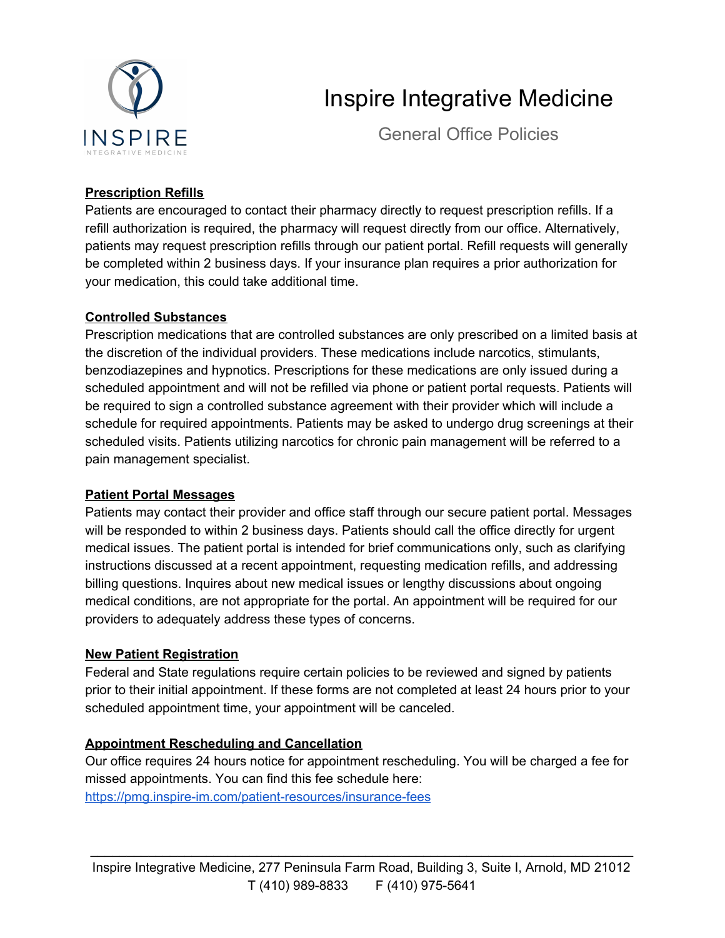

# Inspire Integrative Medicine

General Office Policies

## **Prescription Refills**

Patients are encouraged to contact their pharmacy directly to request prescription refills. If a refill authorization is required, the pharmacy will request directly from our office. Alternatively, patients may request prescription refills through our patient portal. Refill requests will generally be completed within 2 business days. If your insurance plan requires a prior authorization for your medication, this could take additional time.

### **Controlled Substances**

Prescription medications that are controlled substances are only prescribed on a limited basis at the discretion of the individual providers. These medications include narcotics, stimulants, benzodiazepines and hypnotics. Prescriptions for these medications are only issued during a scheduled appointment and will not be refilled via phone or patient portal requests. Patients will be required to sign a controlled substance agreement with their provider which will include a schedule for required appointments. Patients may be asked to undergo drug screenings at their scheduled visits. Patients utilizing narcotics for chronic pain management will be referred to a pain management specialist.

### **Patient Portal Messages**

Patients may contact their provider and office staff through our secure patient portal. Messages will be responded to within 2 business days. Patients should call the office directly for urgent medical issues. The patient portal is intended for brief communications only, such as clarifying instructions discussed at a recent appointment, requesting medication refills, and addressing billing questions. Inquires about new medical issues or lengthy discussions about ongoing medical conditions, are not appropriate for the portal. An appointment will be required for our providers to adequately address these types of concerns.

### **New Patient Registration**

Federal and State regulations require certain policies to be reviewed and signed by patients prior to their initial appointment. If these forms are not completed at least 24 hours prior to your scheduled appointment time, your appointment will be canceled.

### **Appointment Rescheduling and Cancellation**

Our office requires 24 hours notice for appointment rescheduling. You will be charged a fee for missed appointments. You can find this fee schedule here: <https://pmg.inspire-im.com/patient-resources/insurance-fees>

\_\_\_\_\_\_\_\_\_\_\_\_\_\_\_\_\_\_\_\_\_\_\_\_\_\_\_\_\_\_\_\_\_\_\_\_\_\_\_\_\_\_\_\_\_\_\_\_\_\_\_\_\_\_\_\_\_\_\_\_\_\_\_\_\_\_\_\_\_\_\_\_\_\_\_